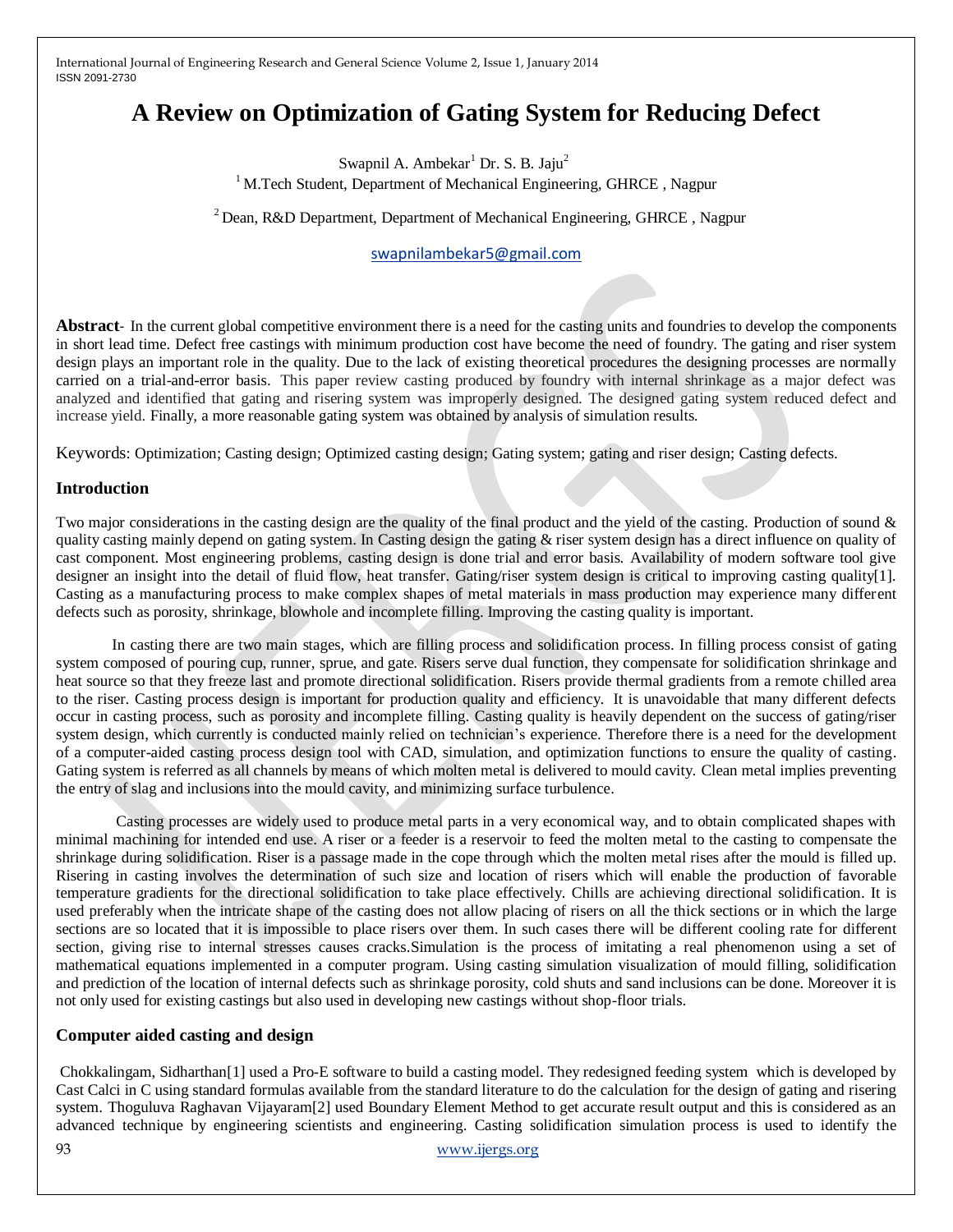# **A Review on Optimization of Gating System for Reducing Defect**

Swapnil A. Ambekar<sup>1</sup> Dr. S. B. Jaju<sup>2</sup>  $1$  M.Tech Student, Department of Mechanical Engineering, GHRCE, Nagpur

 $2$  Dean, R&D Department, Department of Mechanical Engineering, GHRCE, Nagpur

# [swapnilambekar5@gmail.com](mailto:swapnilambekar5@gmail.com)

**Abstract**- In the current global competitive environment there is a need for the casting units and foundries to develop the components in short lead time. Defect free castings with minimum production cost have become the need of foundry. The gating and riser system design plays an important role in the quality. Due to the lack of existing theoretical procedures the designing processes are normally carried on a trial-and-error basis. This paper review casting produced by foundry with internal shrinkage as a major defect was analyzed and identified that gating and risering system was improperly designed. The designed gating system reduced defect and increase yield. Finally, a more reasonable gating system was obtained by analysis of simulation results.

Keywords: Optimization; Casting design; Optimized casting design; Gating system; gating and riser design; Casting defects.

# **Introduction**

Two major considerations in the casting design are the quality of the final product and the yield of the casting. Production of sound & quality casting mainly depend on gating system. In Casting design the gating & riser system design has a direct influence on quality of cast component. Most engineering problems, casting design is done trial and error basis. Availability of modern software tool give designer an insight into the detail of fluid flow, heat transfer. Gating/riser system design is critical to improving casting quality[1]. Casting as a manufacturing process to make complex shapes of metal materials in mass production may experience many different defects such as porosity, shrinkage, blowhole and incomplete filling. Improving the casting quality is important.

In casting there are two main stages, which are filling process and solidification process. In filling process consist of gating system composed of pouring cup, runner, sprue, and gate. Risers serve dual function, they compensate for solidification shrinkage and heat source so that they freeze last and promote directional solidification. Risers provide thermal gradients from a remote chilled area to the riser. Casting process design is important for production quality and efficiency. It is unavoidable that many different defects occur in casting process, such as porosity and incomplete filling. Casting quality is heavily dependent on the success of gating/riser system design, which currently is conducted mainly relied on technician's experience. Therefore there is a need for the development of a computer-aided casting process design tool with CAD, simulation, and optimization functions to ensure the quality of casting. Gating system is referred as all channels by means of which molten metal is delivered to mould cavity. Clean metal implies preventing the entry of slag and inclusions into the mould cavity, and minimizing surface turbulence.

Casting processes are widely used to produce metal parts in a very economical way, and to obtain complicated shapes with minimal machining for intended end use. A riser or a feeder is a reservoir to feed the molten metal to the casting to compensate the shrinkage during solidification. Riser is a passage made in the cope through which the molten metal rises after the mould is filled up. Risering in casting involves the determination of such size and location of risers which will enable the production of favorable temperature gradients for the directional solidification to take place effectively. Chills are achieving directional solidification. It is used preferably when the intricate shape of the casting does not allow placing of risers on all the thick sections or in which the large sections are so located that it is impossible to place risers over them. In such cases there will be different cooling rate for different section, giving rise to internal stresses causes cracks.Simulation is the process of imitating a real phenomenon using a set of mathematical equations implemented in a computer program. Using casting simulation visualization of mould filling, solidification and prediction of the location of internal defects such as shrinkage porosity, cold shuts and sand inclusions can be done. Moreover it is not only used for existing castings but also used in developing new castings without shop-floor trials.

# **Computer aided casting and design**

Chokkalingam, Sidharthan[1] used a Pro-E software to build a casting model. They redesigned feeding system which is developed by Cast Calci in C using standard formulas available from the standard literature to do the calculation for the design of gating and risering system. Thoguluva Raghavan Vijayaram[2] used Boundary Element Method to get accurate result output and this is considered as an advanced technique by engineering scientists and engineering. Casting solidification simulation process is used to identify the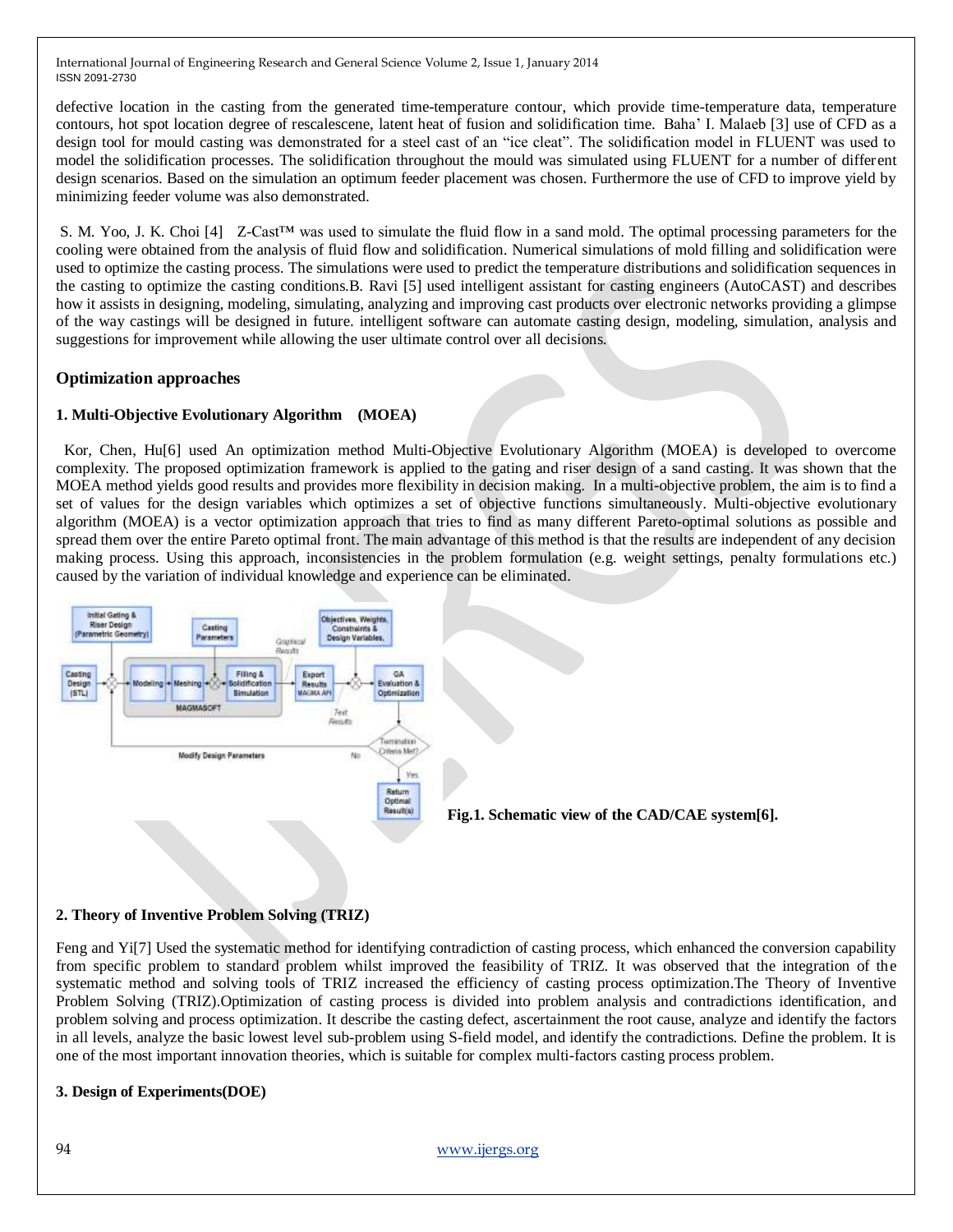defective location in the casting from the generated time-temperature contour, which provide time-temperature data, temperature contours, hot spot location degree of rescalescene, latent heat of fusion and solidification time. Baha" I. Malaeb [3] use of CFD as a design tool for mould casting was demonstrated for a steel cast of an "ice cleat". The solidification model in FLUENT was used to model the solidification processes. The solidification throughout the mould was simulated using FLUENT for a number of different design scenarios. Based on the simulation an optimum feeder placement was chosen. Furthermore the use of CFD to improve yield by minimizing feeder volume was also demonstrated.

S. M. Yoo, J. K. Choi [4] Z-Cast™ was used to simulate the fluid flow in a sand mold. The optimal processing parameters for the cooling were obtained from the analysis of fluid flow and solidification. Numerical simulations of mold filling and solidification were used to optimize the casting process. The simulations were used to predict the temperature distributions and solidification sequences in the casting to optimize the casting conditions.B. Ravi [5] used intelligent assistant for casting engineers (AutoCAST) and describes how it assists in designing, modeling, simulating, analyzing and improving cast products over electronic networks providing a glimpse of the way castings will be designed in future. intelligent software can automate casting design, modeling, simulation, analysis and suggestions for improvement while allowing the user ultimate control over all decisions.

# **Optimization approaches**

# **1. Multi-Objective Evolutionary Algorithm (MOEA)**

 Kor, Chen, Hu[6] used An optimization method Multi-Objective Evolutionary Algorithm (MOEA) is developed to overcome complexity. The proposed optimization framework is applied to the gating and riser design of a sand casting. It was shown that the MOEA method yields good results and provides more flexibility in decision making. In a multi-objective problem, the aim is to find a set of values for the design variables which optimizes a set of objective functions simultaneously. Multi-objective evolutionary algorithm (MOEA) is a vector optimization approach that tries to find as many different Pareto-optimal solutions as possible and spread them over the entire Pareto optimal front. The main advantage of this method is that the results are independent of any decision making process. Using this approach, inconsistencies in the problem formulation (e.g. weight settings, penalty formulations etc.) caused by the variation of individual knowledge and experience can be eliminated.



# **2. Theory of Inventive Problem Solving (TRIZ)**

Feng and Yi[7] Used the systematic method for identifying contradiction of casting process, which enhanced the conversion capability from specific problem to standard problem whilst improved the feasibility of TRIZ. It was observed that the integration of the systematic method and solving tools of TRIZ increased the efficiency of casting process optimization.The Theory of Inventive Problem Solving (TRIZ).Optimization of casting process is divided into problem analysis and contradictions identification, and problem solving and process optimization. It describe the casting defect, ascertainment the root cause, analyze and identify the factors in all levels, analyze the basic lowest level sub-problem using S-field model, and identify the contradictions. Define the problem. It is one of the most important innovation theories, which is suitable for complex multi-factors casting process problem.

#### **3. Design of Experiments(DOE)**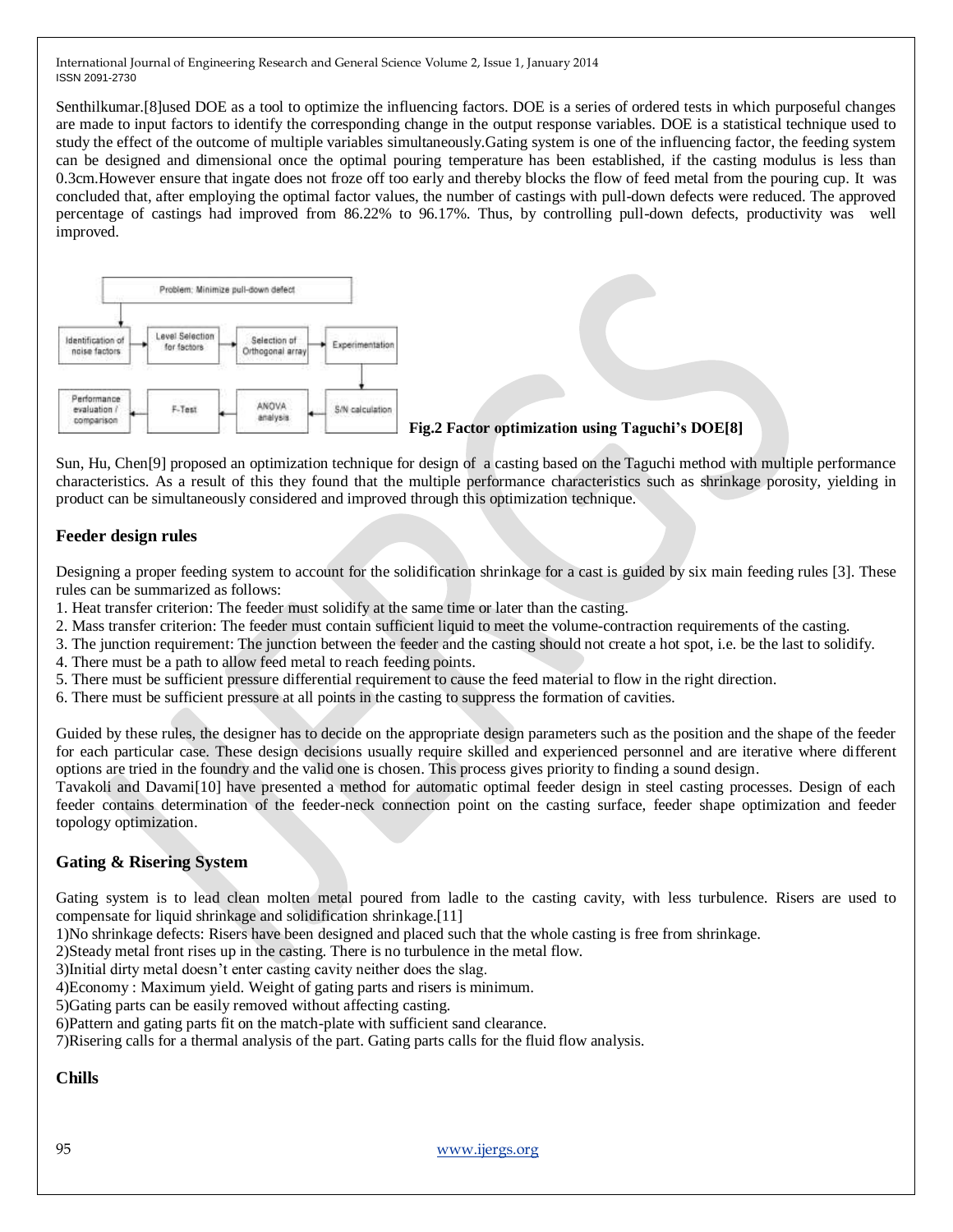Senthilkumar.[8]used DOE as a tool to optimize the influencing factors. DOE is a series of ordered tests in which purposeful changes are made to input factors to identify the corresponding change in the output response variables. DOE is a statistical technique used to study the effect of the outcome of multiple variables simultaneously.Gating system is one of the influencing factor, the feeding system can be designed and dimensional once the optimal pouring temperature has been established, if the casting modulus is less than 0.3cm.However ensure that ingate does not froze off too early and thereby blocks the flow of feed metal from the pouring cup. It was concluded that, after employing the optimal factor values, the number of castings with pull-down defects were reduced. The approved percentage of castings had improved from 86.22% to 96.17%. Thus, by controlling pull-down defects, productivity was well improved.



Sun, Hu, Chen[9] proposed an optimization technique for design of a casting based on the Taguchi method with multiple performance characteristics. As a result of this they found that the multiple performance characteristics such as shrinkage porosity, yielding in product can be simultaneously considered and improved through this optimization technique.

# **Feeder design rules**

Designing a proper feeding system to account for the solidification shrinkage for a cast is guided by six main feeding rules [3]. These rules can be summarized as follows:

- 1. Heat transfer criterion: The feeder must solidify at the same time or later than the casting.
- 2. Mass transfer criterion: The feeder must contain sufficient liquid to meet the volume-contraction requirements of the casting.
- 3. The junction requirement: The junction between the feeder and the casting should not create a hot spot, i.e. be the last to solidify.
- 4. There must be a path to allow feed metal to reach feeding points.
- 5. There must be sufficient pressure differential requirement to cause the feed material to flow in the right direction.
- 6. There must be sufficient pressure at all points in the casting to suppress the formation of cavities.

Guided by these rules, the designer has to decide on the appropriate design parameters such as the position and the shape of the feeder for each particular case. These design decisions usually require skilled and experienced personnel and are iterative where different options are tried in the foundry and the valid one is chosen. This process gives priority to finding a sound design.

Tavakoli and Davami[10] have presented a method for automatic optimal feeder design in steel casting processes. Design of each feeder contains determination of the feeder-neck connection point on the casting surface, feeder shape optimization and feeder topology optimization.

# **Gating & Risering System**

Gating system is to lead clean molten metal poured from ladle to the casting cavity, with less turbulence. Risers are used to compensate for liquid shrinkage and solidification shrinkage.[11]

1)No shrinkage defects: Risers have been designed and placed such that the whole casting is free from shrinkage.

2)Steady metal front rises up in the casting. There is no turbulence in the metal flow.

3)Initial dirty metal doesn"t enter casting cavity neither does the slag.

4)Economy : Maximum yield. Weight of gating parts and risers is minimum.

5)Gating parts can be easily removed without affecting casting.

6)Pattern and gating parts fit on the match-plate with sufficient sand clearance.

7)Risering calls for a thermal analysis of the part. Gating parts calls for the fluid flow analysis.

# **Chills**

95 [www.ijergs.org](http://www.ijergs.org/)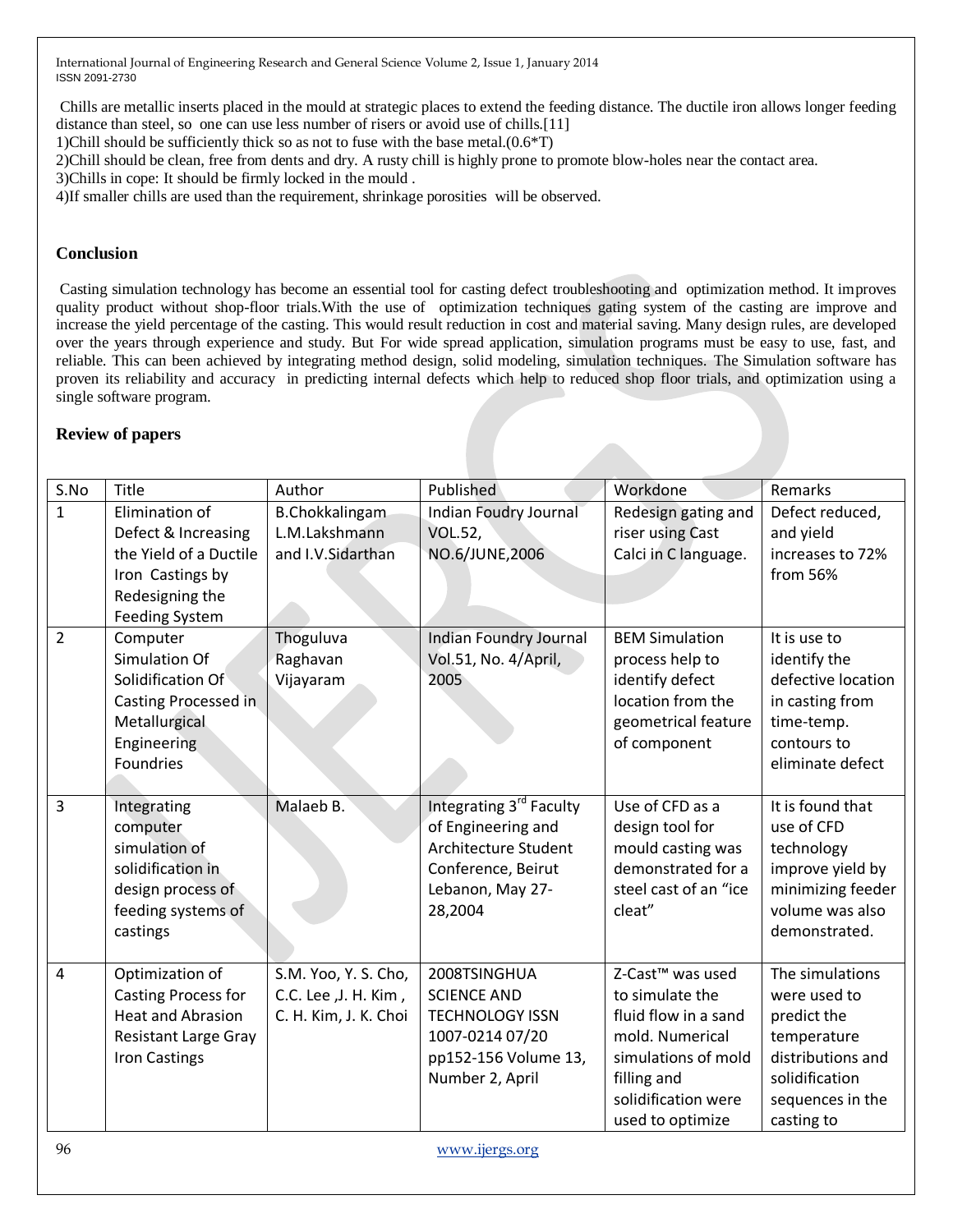Chills are metallic inserts placed in the mould at strategic places to extend the feeding distance. The ductile iron allows longer feeding distance than steel, so one can use less number of risers or avoid use of chills.[11]

1)Chill should be sufficiently thick so as not to fuse with the base metal.(0.6\*T)

2)Chill should be clean, free from dents and dry. A rusty chill is highly prone to promote blow-holes near the contact area.

3)Chills in cope: It should be firmly locked in the mould .

4)If smaller chills are used than the requirement, shrinkage porosities will be observed.

# **Conclusion**

Casting simulation technology has become an essential tool for casting defect troubleshooting and optimization method. It improves quality product without shop-floor trials.With the use of optimization techniques gating system of the casting are improve and increase the yield percentage of the casting. This would result reduction in cost and material saving. Many design rules, are developed over the years through experience and study. But For wide spread application, simulation programs must be easy to use, fast, and reliable. This can been achieved by integrating method design, solid modeling, simulation techniques. The Simulation software has proven its reliability and accuracy in predicting internal defects which help to reduced shop floor trials, and optimization using a single software program.

# **Review of papers**

| S.No           | Title                       | Author                | Published                     | Workdone                     | Remarks            |
|----------------|-----------------------------|-----------------------|-------------------------------|------------------------------|--------------------|
| $\mathbf{1}$   | Elimination of              | <b>B.Chokkalingam</b> | Indian Foudry Journal         | Redesign gating and          | Defect reduced,    |
|                | Defect & Increasing         | L.M.Lakshmann         | <b>VOL.52,</b>                | riser using Cast             | and yield          |
|                | the Yield of a Ductile      | and I.V.Sidarthan     | NO.6/JUNE,2006                | Calci in C language.         | increases to 72%   |
|                | Iron Castings by            |                       |                               |                              | from 56%           |
|                | Redesigning the             |                       |                               |                              |                    |
|                | <b>Feeding System</b>       |                       |                               |                              |                    |
| $\overline{2}$ | Computer                    | Thoguluva             | <b>Indian Foundry Journal</b> | <b>BEM Simulation</b>        | It is use to       |
|                | <b>Simulation Of</b>        | Raghavan              | Vol.51, No. 4/April,          | process help to              | identify the       |
|                | Solidification Of           | Vijayaram             | 2005                          | identify defect              | defective location |
|                | Casting Processed in        |                       |                               | location from the            | in casting from    |
|                | Metallurgical               |                       |                               | geometrical feature          | time-temp.         |
|                | Engineering                 |                       |                               | of component                 | contours to        |
|                | Foundries                   |                       |                               |                              | eliminate defect   |
|                |                             |                       |                               |                              |                    |
| 3              | Integrating                 | Malaeb B.             | Integrating 3rd Faculty       | Use of CFD as a              | It is found that   |
|                | computer                    |                       | of Engineering and            | design tool for              | use of CFD         |
|                | simulation of               |                       | Architecture Student          | mould casting was            | technology         |
|                | solidification in           |                       | Conference, Beirut            | demonstrated for a           | improve yield by   |
|                | design process of           |                       | Lebanon, May 27-              | steel cast of an "ice        | minimizing feeder  |
|                | feeding systems of          |                       | 28,2004                       | cleat"                       | volume was also    |
|                | castings                    |                       |                               |                              | demonstrated.      |
|                |                             |                       |                               |                              |                    |
| 4              | Optimization of             | S.M. Yoo, Y. S. Cho,  | 2008TSINGHUA                  | Z-Cast <sup>™</sup> was used | The simulations    |
|                | Casting Process for         | C.C. Lee ,J. H. Kim,  | <b>SCIENCE AND</b>            | to simulate the              | were used to       |
|                | <b>Heat and Abrasion</b>    | C. H. Kim, J. K. Choi | <b>TECHNOLOGY ISSN</b>        | fluid flow in a sand         | predict the        |
|                | <b>Resistant Large Gray</b> |                       | 1007-0214 07/20               | mold. Numerical              | temperature        |
|                | <b>Iron Castings</b>        |                       | pp152-156 Volume 13,          | simulations of mold          | distributions and  |
|                |                             |                       | Number 2, April               | filling and                  | solidification     |
|                |                             |                       |                               | solidification were          | sequences in the   |
|                |                             |                       |                               | used to optimize             | casting to         |

96 [www.ijergs.org](http://www.ijergs.org/)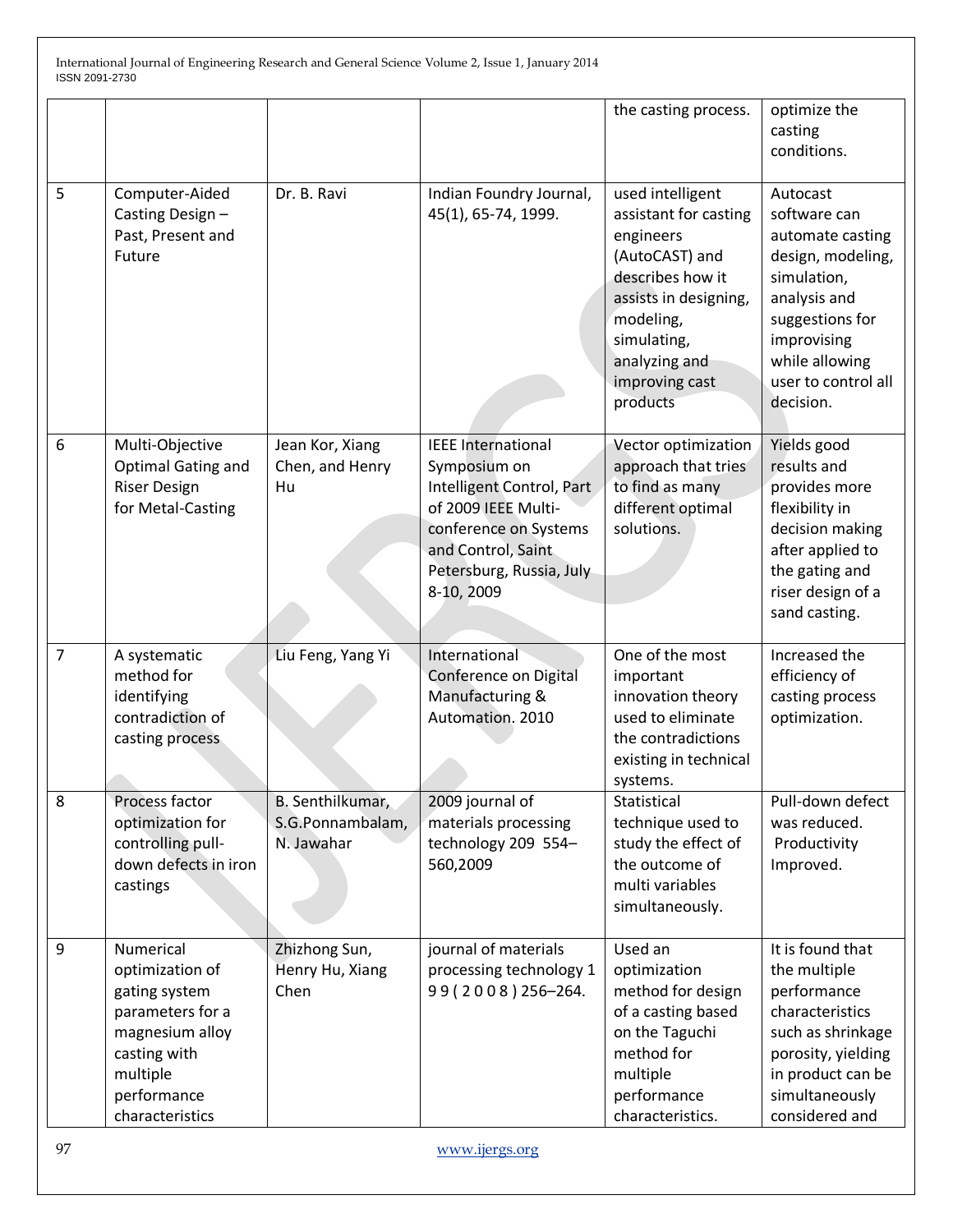|   |                                                                                                                                                    |                                                    |                                                                                                                                                                                        | the casting process.                                                                                                                                                                             | optimize the<br>casting<br>conditions.                                                                                                                                                   |
|---|----------------------------------------------------------------------------------------------------------------------------------------------------|----------------------------------------------------|----------------------------------------------------------------------------------------------------------------------------------------------------------------------------------------|--------------------------------------------------------------------------------------------------------------------------------------------------------------------------------------------------|------------------------------------------------------------------------------------------------------------------------------------------------------------------------------------------|
| 5 | Computer-Aided<br>Casting Design-<br>Past, Present and<br>Future                                                                                   | Dr. B. Ravi                                        | Indian Foundry Journal,<br>45(1), 65-74, 1999.                                                                                                                                         | used intelligent<br>assistant for casting<br>engineers<br>(AutoCAST) and<br>describes how it<br>assists in designing,<br>modeling,<br>simulating,<br>analyzing and<br>improving cast<br>products | Autocast<br>software can<br>automate casting<br>design, modeling,<br>simulation,<br>analysis and<br>suggestions for<br>improvising<br>while allowing<br>user to control all<br>decision. |
| 6 | Multi-Objective<br><b>Optimal Gating and</b><br><b>Riser Design</b><br>for Metal-Casting                                                           | Jean Kor, Xiang<br>Chen, and Henry<br>Hu           | <b>IEEE</b> International<br>Symposium on<br>Intelligent Control, Part<br>of 2009 IEEE Multi-<br>conference on Systems<br>and Control, Saint<br>Petersburg, Russia, July<br>8-10, 2009 | Vector optimization<br>approach that tries<br>to find as many<br>different optimal<br>solutions.                                                                                                 | Yields good<br>results and<br>provides more<br>flexibility in<br>decision making<br>after applied to<br>the gating and<br>riser design of a<br>sand casting.                             |
| 7 | A systematic<br>method for<br>identifying<br>contradiction of<br>casting process                                                                   | Liu Feng, Yang Yi                                  | International<br>Conference on Digital<br>Manufacturing &<br>Automation. 2010                                                                                                          | One of the most<br>important<br>innovation theory<br>used to eliminate<br>the contradictions<br>existing in technical<br>systems.                                                                | Increased the<br>efficiency of<br>casting process<br>optimization.                                                                                                                       |
| 8 | Process factor<br>optimization for<br>controlling pull-<br>down defects in iron<br>castings                                                        | B. Senthilkumar,<br>S.G.Ponnambalam,<br>N. Jawahar | 2009 journal of<br>materials processing<br>technology 209 554-<br>560,2009                                                                                                             | Statistical<br>technique used to<br>study the effect of<br>the outcome of<br>multi variables<br>simultaneously.                                                                                  | Pull-down defect<br>was reduced.<br>Productivity<br>Improved.                                                                                                                            |
| 9 | Numerical<br>optimization of<br>gating system<br>parameters for a<br>magnesium alloy<br>casting with<br>multiple<br>performance<br>characteristics | Zhizhong Sun,<br>Henry Hu, Xiang<br>Chen           | journal of materials<br>processing technology 1<br>99 (2008) 256-264.                                                                                                                  | Used an<br>optimization<br>method for design<br>of a casting based<br>on the Taguchi<br>method for<br>multiple<br>performance<br>characteristics.                                                | It is found that<br>the multiple<br>performance<br>characteristics<br>such as shrinkage<br>porosity, yielding<br>in product can be<br>simultaneously<br>considered and                   |